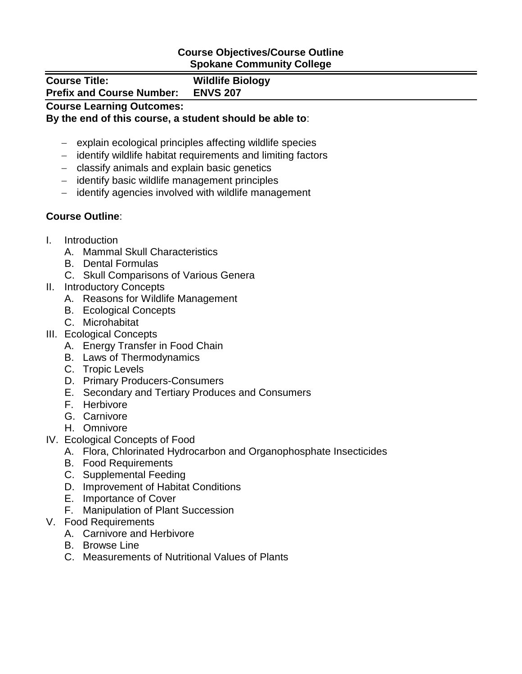## **Course Objectives/Course Outline Spokane Community College**

| <b>Course Title:</b><br><b>Prefix and Course Number:</b> | <b>Wildlife Biology</b><br><b>ENVS 207</b> |
|----------------------------------------------------------|--------------------------------------------|
| <b>Course Learning Outcomes:</b>                         |                                            |

## **By the end of this course, a student should be able to**:

- explain ecological principles affecting wildlife species
- identify wildlife habitat requirements and limiting factors
- classify animals and explain basic genetics
- identify basic wildlife management principles
- identify agencies involved with wildlife management

## **Course Outline**:

- I. Introduction
	- A. Mammal Skull Characteristics
	- B. Dental Formulas
	- C. Skull Comparisons of Various Genera
- II. Introductory Concepts
	- A. Reasons for Wildlife Management
	- B. Ecological Concepts
	- C. Microhabitat
- III. Ecological Concepts
	- A. Energy Transfer in Food Chain
	- B. Laws of Thermodynamics
	- C. Tropic Levels
	- D. Primary Producers-Consumers
	- E. Secondary and Tertiary Produces and Consumers
	- F. Herbivore
	- G. Carnivore
	- H. Omnivore
- IV. Ecological Concepts of Food
	- A. Flora, Chlorinated Hydrocarbon and Organophosphate Insecticides
	- B. Food Requirements
	- C. Supplemental Feeding
	- D. Improvement of Habitat Conditions
	- E. Importance of Cover
	- F. Manipulation of Plant Succession
- V. Food Requirements
	- A. Carnivore and Herbivore
	- B. Browse Line
	- C. Measurements of Nutritional Values of Plants